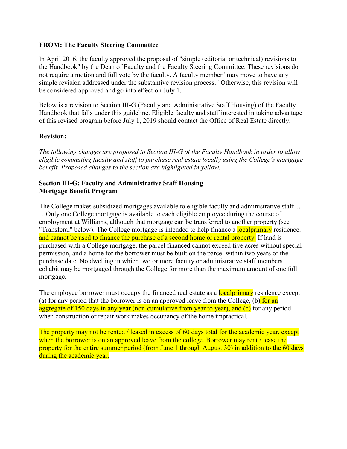### **FROM: The Faculty Steering Committee**

In April 2016, the faculty approved the proposal of "simple (editorial or technical) revisions to the Handbook" by the Dean of Faculty and the Faculty Steering Committee. These revisions do not require a motion and full vote by the faculty. A faculty member "may move to have any simple revision addressed under the substantive revision process." Otherwise, this revision will be considered approved and go into effect on July 1.

Below is a revision to Section III-G (Faculty and Administrative Staff Housing) of the Faculty Handbook that falls under this guideline. Eligible faculty and staff interested in taking advantage of this revised program before July 1, 2019 should contact the Office of Real Estate directly.

### **Revision:**

*The following changes are proposed to Section III-G of the Faculty Handbook in order to allow eligible commuting faculty and staff to purchase real estate locally using the College's mortgage benefit. Proposed changes to the section are highlighted in yellow.*

### **Section III-G: Faculty and Administrative Staff Housing Mortgage Benefit Program**

The College makes subsidized mortgages available to eligible faculty and administrative staff… …Only one College mortgage is available to each eligible employee during the course of employment at Williams, although that mortgage can be transferred to another property (see "Transferal" below). The College mortgage is intended to help finance a local primary residence. and cannot be used to finance the purchase of a second home or rental property. If land is purchased with a College mortgage, the parcel financed cannot exceed five acres without special permission, and a home for the borrower must be built on the parcel within two years of the purchase date. No dwelling in which two or more faculty or administrative staff members cohabit may be mortgaged through the College for more than the maximum amount of one full mortgage.

The employee borrower must occupy the financed real estate as a **local primary** residence except (a) for any period that the borrower is on an approved leave from the College, (b)  $\frac{1}{2}$ aggregate of 150 days in any year (non-cumulative from year to year), and (c)</del> for any period when construction or repair work makes occupancy of the home impractical.

The property may not be rented / leased in excess of 60 days total for the academic year, except when the borrower is on an approved leave from the college. Borrower may rent / lease the property for the entire summer period (from June 1 through August 30) in addition to the 60 days during the academic year.